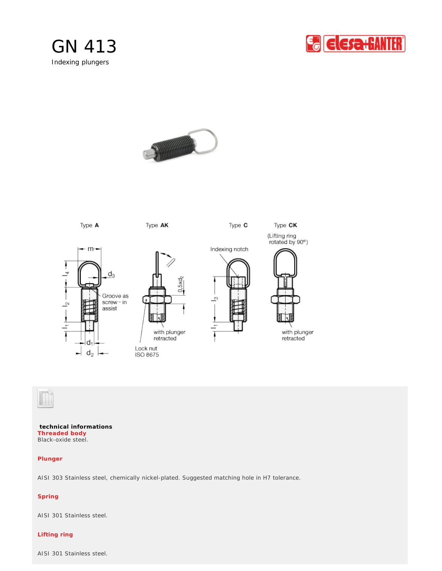







**technical informations** Black-oxide steel. **Threaded body** 

## **Plunger**

AISI 303 Stainless steel, chemically nickel-plated. Suggested matching hole in H7 tolerance.

# **Spring**

AISI 301 Stainless steel.

## **Lifting ring**

AISI 301 Stainless steel.